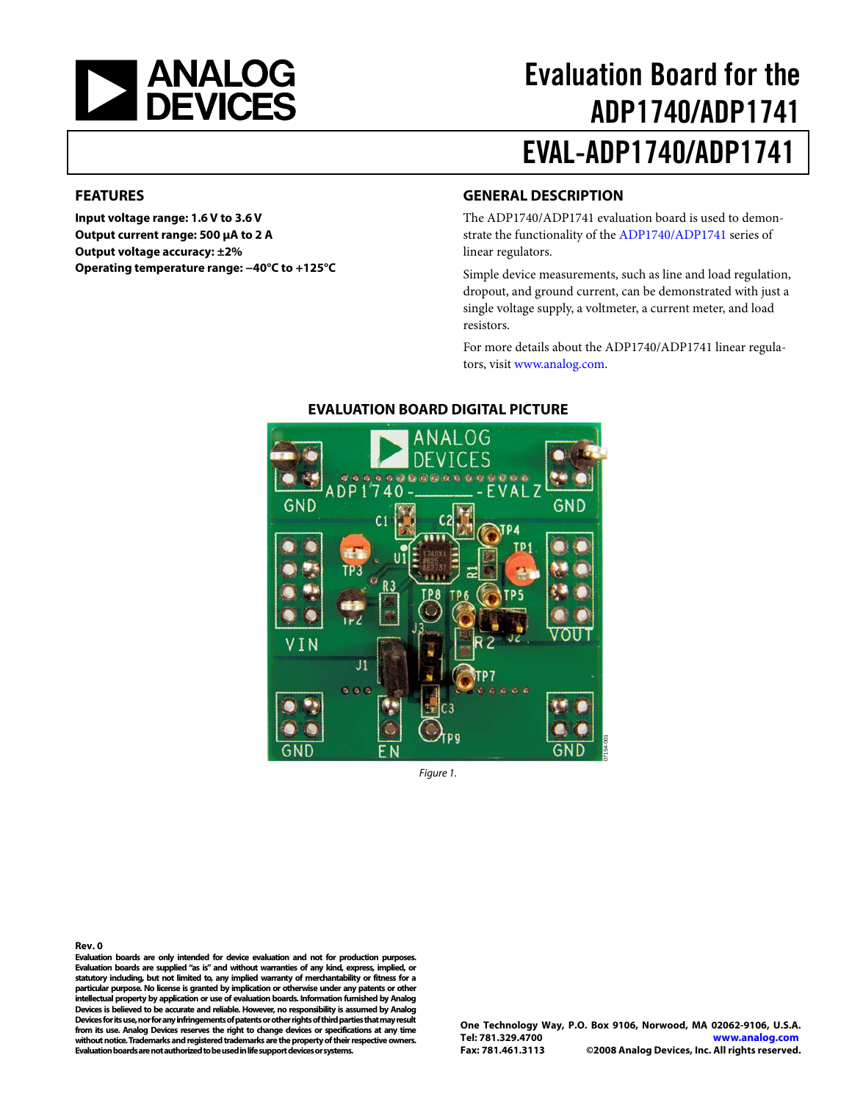<span id="page-0-0"></span>

# Evaluation Board for the ADP1740/ADP1741 EVAL-ADP1740/ADP1741

#### **FEATURES**

**Input voltage range: 1.6 V to 3.6 V Output current range: 500 μA to 2 A Output voltage accuracy: ±2% Operating temperature range: −40°C to +125°C** 

### **GENERAL DESCRIPTION**

The [ADP1740](http://www.analog.com/ADP1740)[/ADP1741](http://www.analog.com/adp1741) evaluation board is used to demonstrate the functionality of the [ADP1740](http://www.analog.com/ADP1740)[/ADP1741](http://www.analog.com/adp1741) series of linear regulators.

Simple device measurements, such as line and load regulation, dropout, and ground current, can be demonstrated with just a single voltage supply, a voltmeter, a current meter, and load resistors.

For more details about the [ADP1740](http://www.analog.com/ADP1740)[/ADP1741](http://www.analog.com/adp1741) linear regulators, visit [www.analog.com.](http://www.analog.com/)



### **EVALUATION BOARD DIGITAL PICTURE**

Figure 1.

#### **Rev. 0**

**Evaluation boards are only intended for device evaluation and not for production purposes. Evaluation boards are supplied "as is" and without warranties of any kind, express, implied, or statutory including, but not limited to, any implied warranty of merchantability or fitness for a particular purpose. No license is granted by implication or otherwise under any patents or other intellectual property by application or use of evaluation boards. Information furnished by Analog Devices is believed to be accurate and reliable. However, no responsibility is assumed by Analog Devices for its use, nor for any infringements of patents or other rights of third parties that may result from its use. Analog Devices reserves the right to change devices or specifications at any time without notice. Trademarks and registered trademarks are the property of their respective owners. Evaluation boards are not authorized to be used in life support devices or systems.**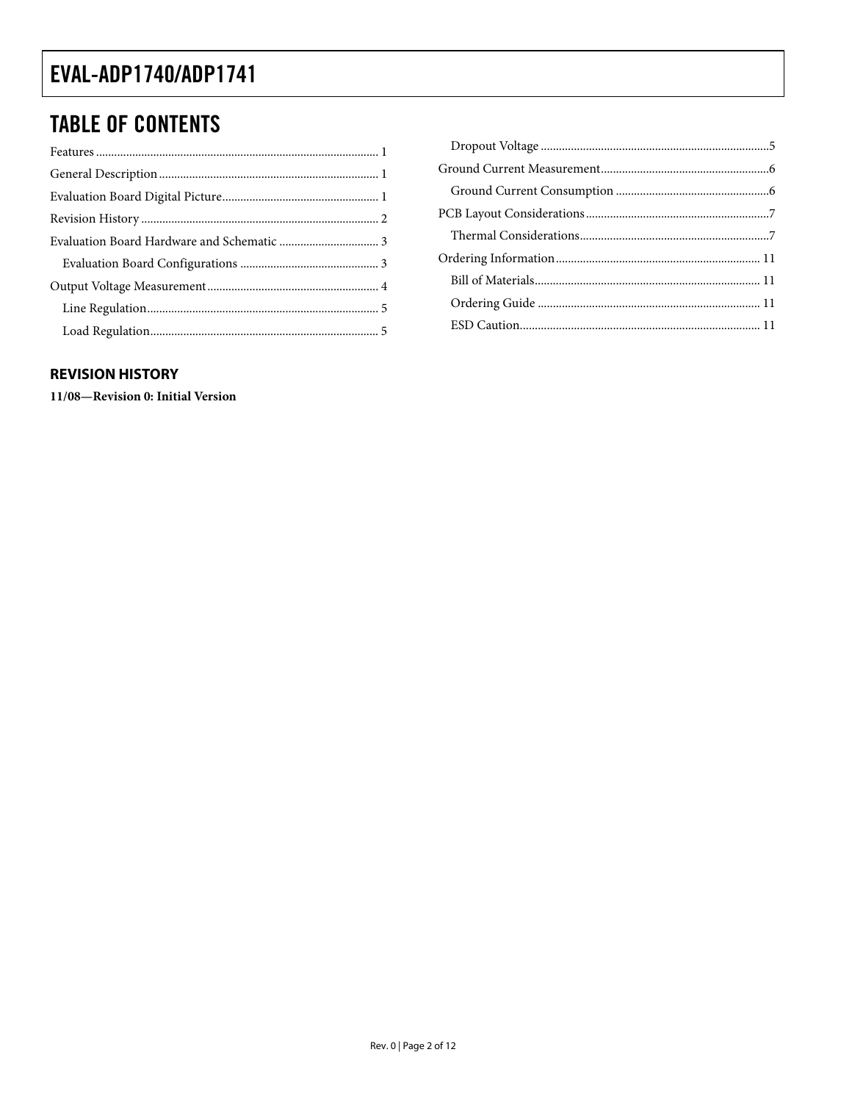### <span id="page-1-0"></span>**TABLE OF CONTENTS**

### **REVISION HISTORY**

11/08-Revision 0: Initial Version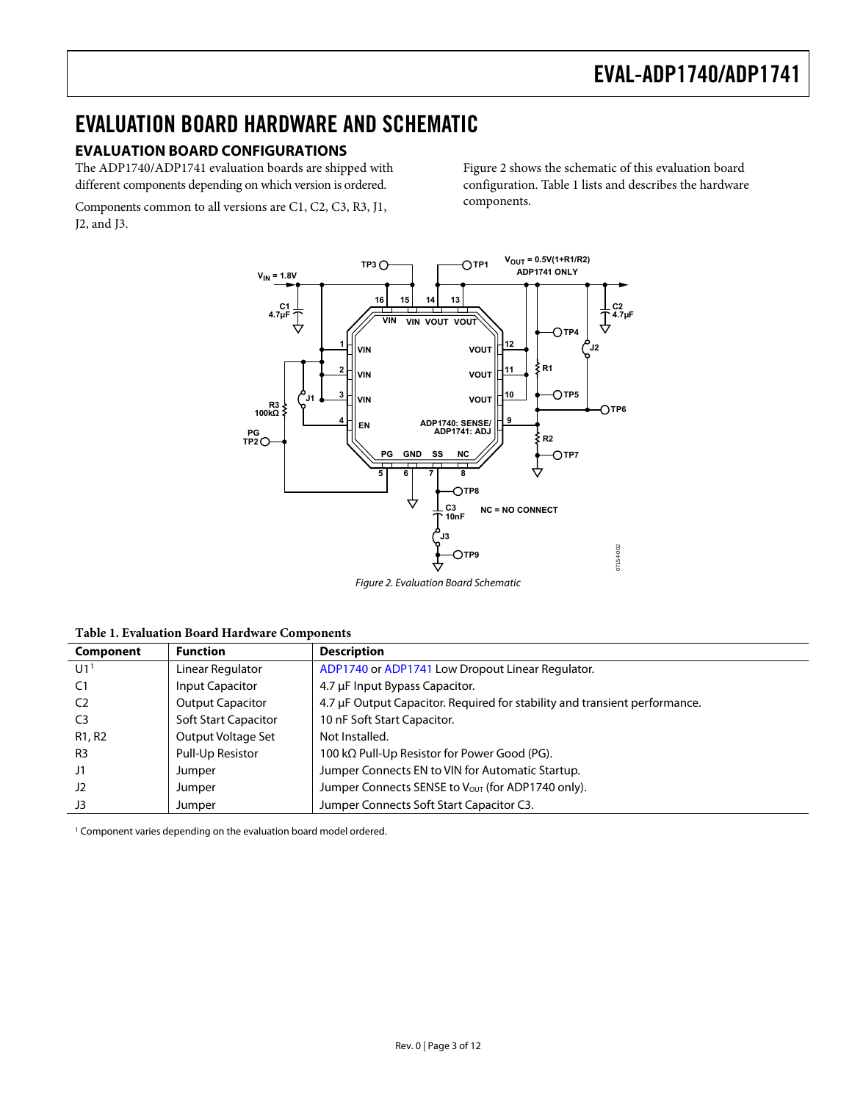### <span id="page-2-0"></span>EVALUATION BOARD HARDWARE AND SCHEMATIC

### **EVALUATION BOARD CONFIGURATIONS**

The ADP1740/ADP1741 evaluation boards are shipped with different components depending on which version is ordered.

Components common to all versions are C1, C2, C3, R3, J1, J2, and J3.

[Figure 2](#page-2-1) shows the schematic of this evaluation board configuration. [Table 1](#page-2-2) lists and describes the hardware components.



Figure 2. Evaluation Board Schematic

<span id="page-2-1"></span>**Table 1. Evaluation Board Hardware Components** 

<span id="page-2-2"></span>

| Component                       | <b>Function</b>             | <b>Description</b>                                                         |
|---------------------------------|-----------------------------|----------------------------------------------------------------------------|
| U1 <sup>1</sup>                 | Linear Regulator            | ADP1740 or ADP1741 Low Dropout Linear Regulator.                           |
| C <sub>1</sub>                  | <b>Input Capacitor</b>      | 4.7 µF Input Bypass Capacitor.                                             |
| C <sub>2</sub>                  | <b>Output Capacitor</b>     | 4.7 µF Output Capacitor. Required for stability and transient performance. |
| C <sub>3</sub>                  | <b>Soft Start Capacitor</b> | 10 nF Soft Start Capacitor.                                                |
| R <sub>1</sub> , R <sub>2</sub> | Output Voltage Set          | Not Installed.                                                             |
| R <sub>3</sub>                  | Pull-Up Resistor            | 100 k $\Omega$ Pull-Up Resistor for Power Good (PG).                       |
| J1                              | Jumper                      | Jumper Connects EN to VIN for Automatic Startup.                           |
| $_{\rm J2}$                     | Jumper                      | Jumper Connects SENSE to Vout (for ADP1740 only).                          |
| J3                              | Jumper                      | Jumper Connects Soft Start Capacitor C3.                                   |

<sup>1</sup> Component varies depending on the evaluation board model ordered.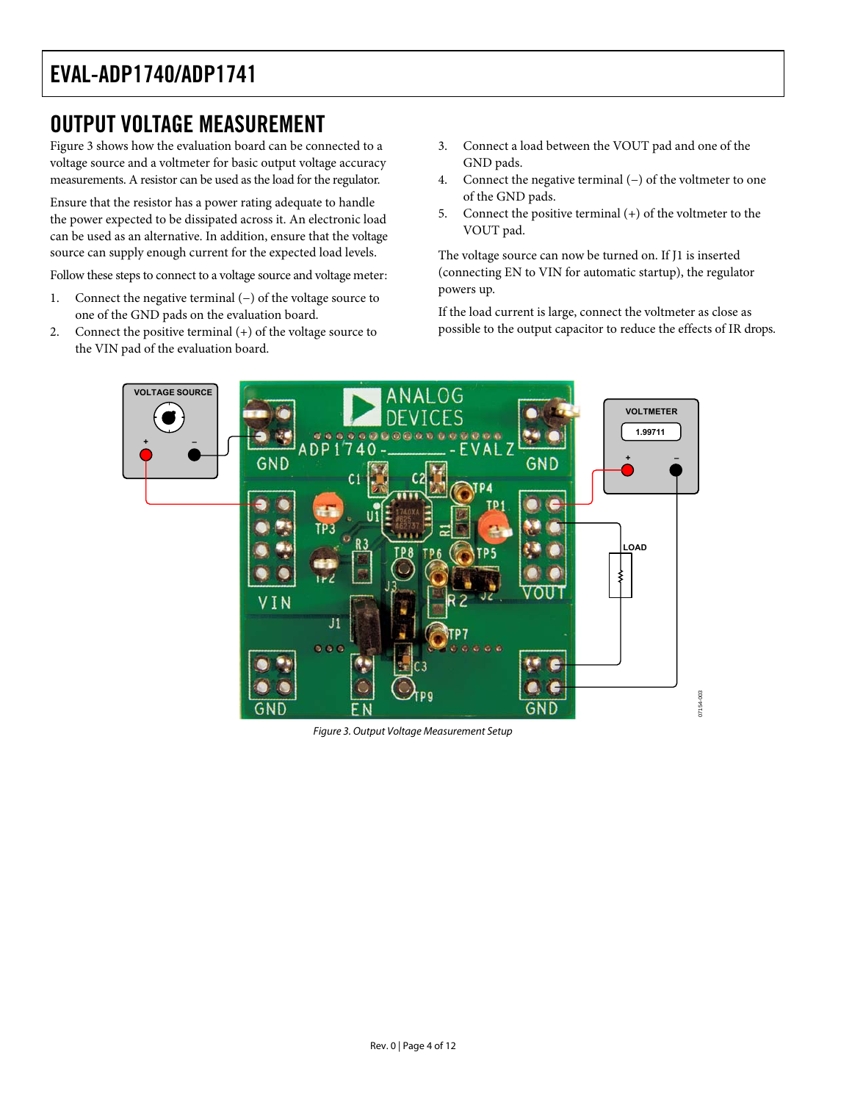### <span id="page-3-0"></span>OUTPUT VOLTAGE MEASUREMENT

[Figure 3](#page-3-1) shows how the evaluation board can be connected to a voltage source and a voltmeter for basic output voltage accuracy measurements. A resistor can be used as the load for the regulator.

Ensure that the resistor has a power rating adequate to handle the power expected to be dissipated across it. An electronic load can be used as an alternative. In addition, ensure that the voltage source can supply enough current for the expected load levels.

Follow these steps to connect to a voltage source and voltage meter:

- 1. Connect the negative terminal (−) of the voltage source to one of the GND pads on the evaluation board.
- 2. Connect the positive terminal (+) of the voltage source to the VIN pad of the evaluation board.
- 3. Connect a load between the VOUT pad and one of the GND pads.
- 4. Connect the negative terminal (−) of the voltmeter to one of the GND pads.
- 5. Connect the positive terminal (+) of the voltmeter to the VOUT pad.

The voltage source can now be turned on. If J1 is inserted (connecting EN to VIN for automatic startup), the regulator powers up.

If the load current is large, connect the voltmeter as close as possible to the output capacitor to reduce the effects of IR drops.



<span id="page-3-1"></span>Figure 3. Output Voltage Measurement Setup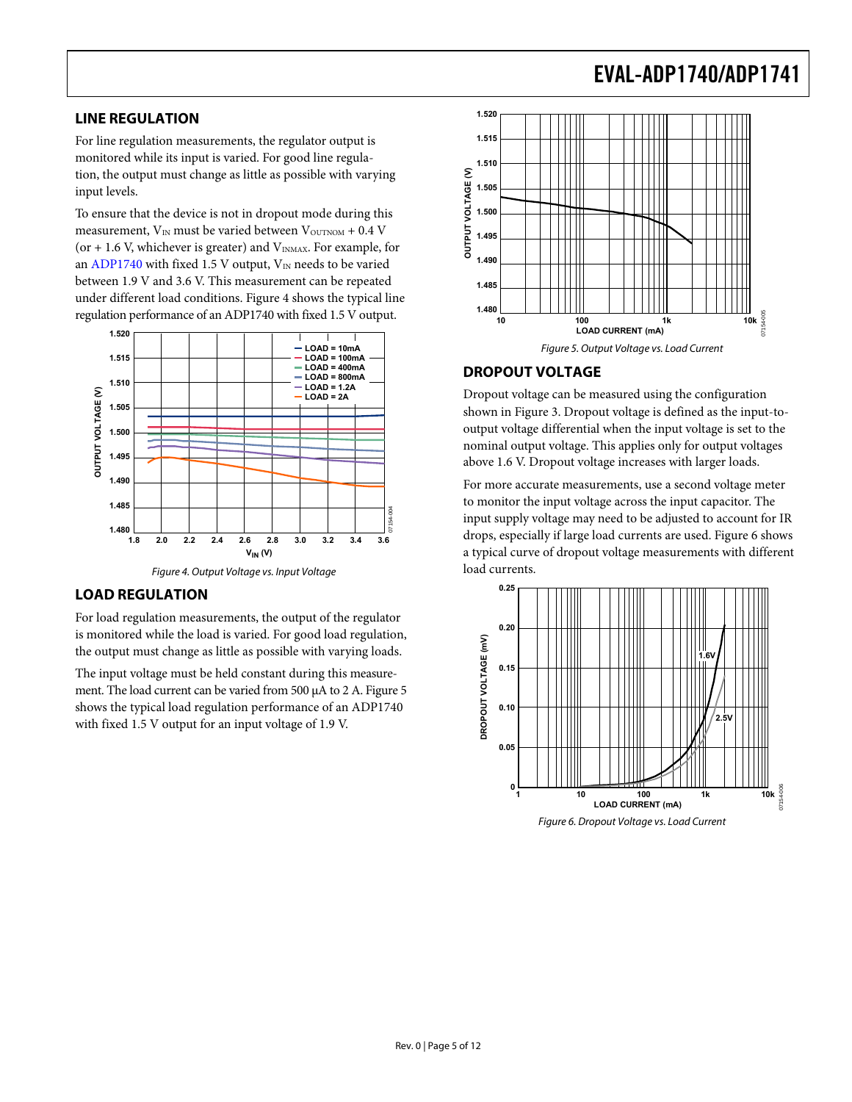### <span id="page-4-0"></span>**LINE REGULATION**

For line regulation measurements, the regulator output is monitored while its input is varied. For good line regulation, the output must change as little as possible with varying input levels.

To ensure that the device is not in dropout mode during this measurement,  $V_{IN}$  must be varied between  $V_{OUTNOM}$  + 0.4 V (or  $+$  1.6 V, whichever is greater) and  $V_{INMAX}$ . For example, for an [ADP1740](http://www.analog.com/ADP1740) with fixed 1.5 V output,  $V_{IN}$  needs to be varied between 1.9 V and 3.6 V. This measurement can be repeated under different load conditions. [Figure 4](#page-4-1) shows the typical line regulation performance of an ADP1740 with fixed 1.5 V output.

<span id="page-4-2"></span>

#### <span id="page-4-1"></span>**LOAD REGULATION**

For load regulation measurements, the output of the regulator is monitored while the load is varied. For good load regulation, the output must change as little as possible with varying loads.

<span id="page-4-3"></span>The input voltage must be held constant during this measurement. The load current can be varied from 500 μA to 2 A. [Figure 5](#page-4-2) shows the typical load regulation performance of an ADP1740 with fixed 1.5 V output for an input voltage of 1.9 V.



### **DROPOUT VOLTAGE**

Dropout voltage can be measured using the configuration shown in [Figure 3](#page-3-1). Dropout voltage is defined as the input-tooutput voltage differential when the input voltage is set to the nominal output voltage. This applies only for output voltages above 1.6 V. Dropout voltage increases with larger loads.

For more accurate measurements, use a second voltage meter to monitor the input voltage across the input capacitor. The input supply voltage may need to be adjusted to account for IR drops, especially if large load currents are used. [Figure 6](#page-4-3) shows a typical curve of dropout voltage measurements with different load currents.



Figure 6. Dropout Voltage vs. Load Current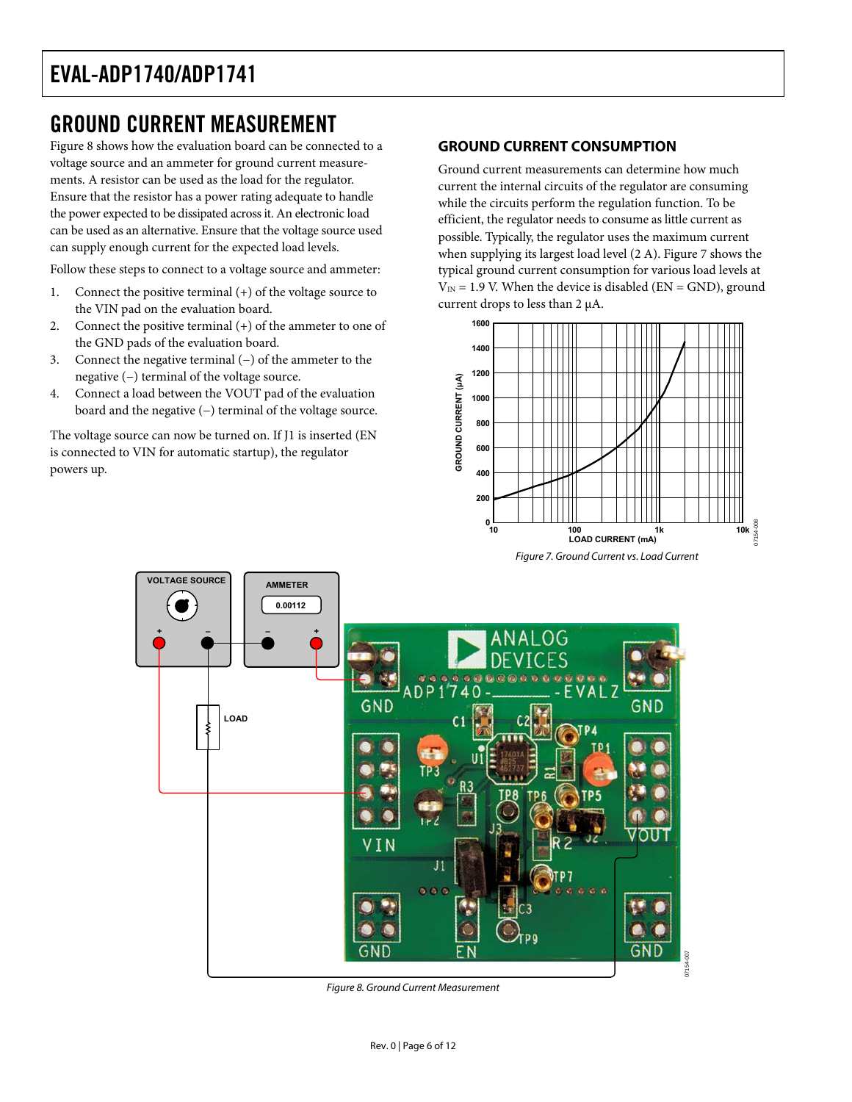### <span id="page-5-0"></span>GROUND CURRENT MEASUREMENT

[Figure 8](#page-5-1) shows how the evaluation board can be connected to a voltage source and an ammeter for ground current measurements. A resistor can be used as the load for the regulator. Ensure that the resistor has a power rating adequate to handle the power expected to be dissipated across it. An electronic load can be used as an alternative. Ensure that the voltage source used can supply enough current for the expected load levels.

Follow these steps to connect to a voltage source and ammeter:

- 1. Connect the positive terminal (+) of the voltage source to the VIN pad on the evaluation board.
- 2. Connect the positive terminal (+) of the ammeter to one of the GND pads of the evaluation board.
- 3. Connect the negative terminal (−) of the ammeter to the negative (−) terminal of the voltage source.
- 4. Connect a load between the VOUT pad of the evaluation board and the negative (−) terminal of the voltage source.

<span id="page-5-2"></span>The voltage source can now be turned on. If J1 is inserted (EN is connected to VIN for automatic startup), the regulator powers up.

#### **GROUND CURRENT CONSUMPTION**

Ground current measurements can determine how much current the internal circuits of the regulator are consuming while the circuits perform the regulation function. To be efficient, the regulator needs to consume as little current as possible. Typically, the regulator uses the maximum current when supplying its largest load level (2 A). [Figure 7](#page-5-2) shows the typical ground current consumption for various load levels at  $V_{\text{IN}} = 1.9$  V. When the device is disabled (EN = GND), ground current drops to less than 2 μA.





<span id="page-5-1"></span>Figure 8. Ground Current Measurement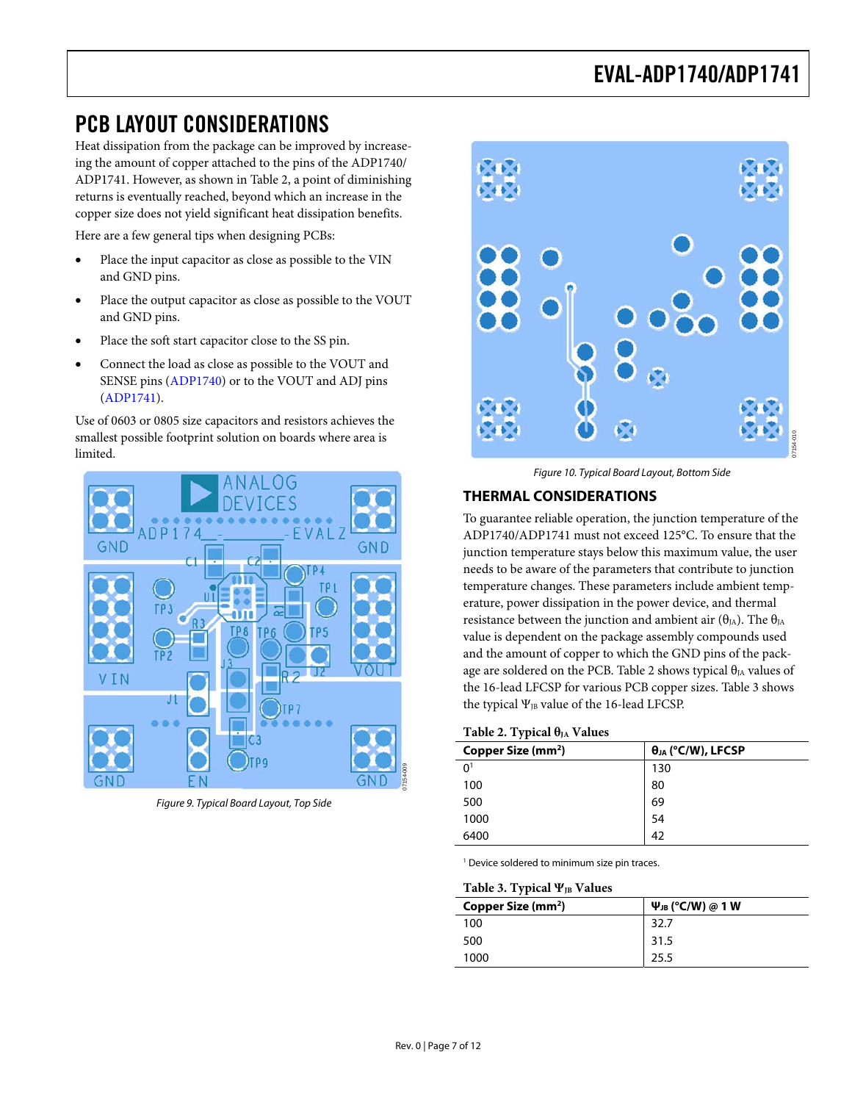### <span id="page-6-0"></span>PCB LAYOUT CONSIDERATIONS

Heat dissipation from the package can be improved by increaseing the amount of copper attached to the pins of the ADP1740/ ADP1741. However, as shown in [Table 2](#page-6-1), a point of diminishing returns is eventually reached, beyond which an increase in the copper size does not yield significant heat dissipation benefits.

Here are a few general tips when designing PCBs:

- Place the input capacitor as close as possible to the VIN and GND pins.
- Place the output capacitor as close as possible to the VOUT and GND pins.
- Place the soft start capacitor close to the SS pin.
- Connect the load as close as possible to the VOUT and SENSE pins [\(ADP1740](http://www.analog.com/adp1740)) or to the VOUT and ADJ pins [\(ADP1741](http://www.analog.com/adp1741)).

Use of 0603 or 0805 size capacitors and resistors achieves the smallest possible footprint solution on boards where area is limited.



<span id="page-6-2"></span><span id="page-6-1"></span>Figure 9. Typical Board Layout, Top Side



Figure 10. Typical Board Layout, Bottom Side

### **THERMAL CONSIDERATIONS**

To guarantee reliable operation, the junction temperature of the ADP1740/ADP1741 must not exceed 125°C. To ensure that the junction temperature stays below this maximum value, the user needs to be aware of the parameters that contribute to junction temperature changes. These parameters include ambient temperature, power dissipation in the power device, and thermal resistance between the junction and ambient air ( $\theta_{JA}$ ). The  $\theta_{JA}$ value is dependent on the package assembly compounds used and the amount of copper to which the GND pins of the pack-age are soldered on the PCB. [Table 2](#page-6-1) shows typical  $\theta_{JA}$  values of the 16-lead LFCSP for various PCB copper sizes. [Table 3](#page-6-2) shows the typical  $\Psi_{JB}$  value of the 16-lead LFCSP.

#### Table 2. Typical θ<sub>JA</sub> Values

| Copper Size (mm <sup>2</sup> ) | $\theta_{JA}$ (°C/W), LFCSP |
|--------------------------------|-----------------------------|
| 0 <sup>1</sup>                 | 130                         |
| 100                            | 80                          |
| 500                            | 69                          |
| 1000                           | 54                          |
| 6400                           | 42                          |

1 Device soldered to minimum size pin traces.

#### Table 3. Typical Ψ<sub>B</sub> Values

| Copper Size (mm <sup>2</sup> ) | $\Psi_{JB}$ (°C/W) @ 1 W |  |
|--------------------------------|--------------------------|--|
| 100                            | 32.7                     |  |
| 500                            | 31.5                     |  |
| 1000                           | 25.5                     |  |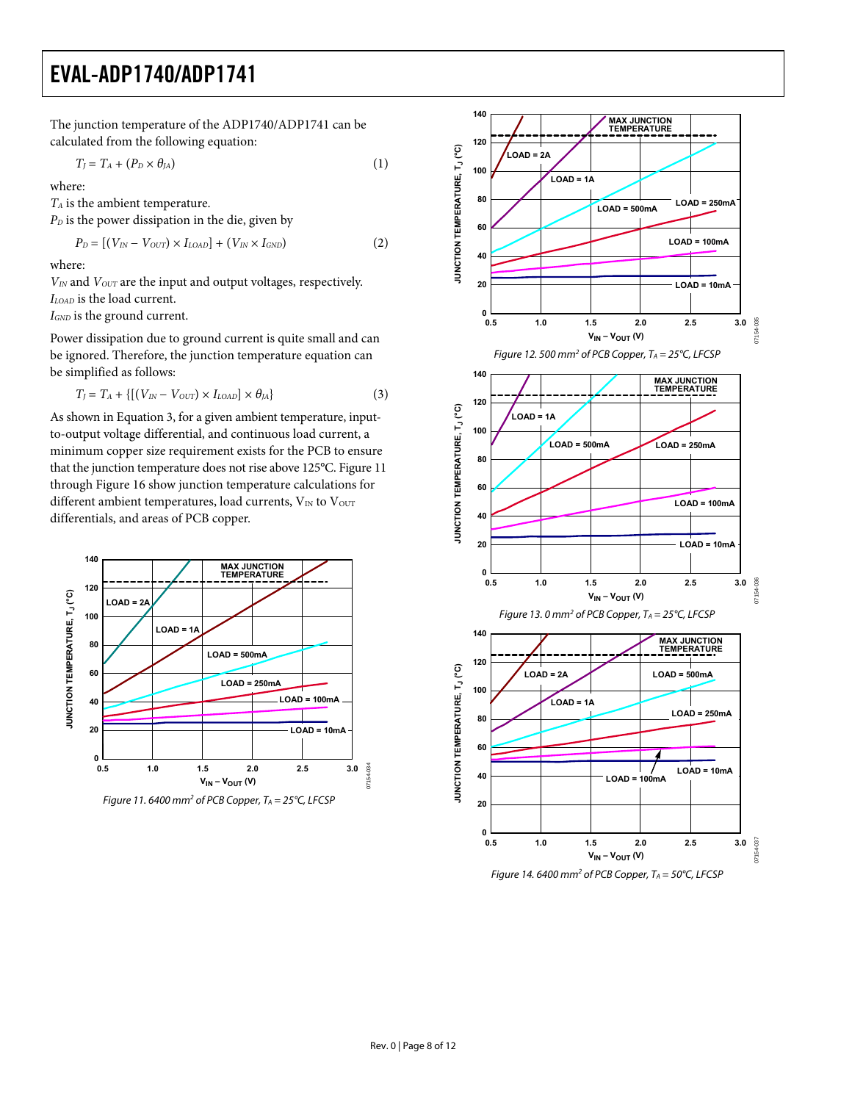The junction temperature of the ADP1740/ADP1741 can be calculated from the following equation:

$$
T_J = T_A + (P_D \times \theta_{JA})
$$
 (1)

where:

*TA* is the ambient temperature.

 $P<sub>D</sub>$  is the power dissipation in the die, given by

$$
P_D = [(V_{IN} - V_{OUT}) \times I_{LOAD}] + (V_{IN} \times I_{GND}) \tag{2}
$$

where:

*VIN* and *VOUT* are the input and output voltages, respectively. *ILOAD* is the load current.

*IGND* is the ground current.

Power dissipation due to ground current is quite small and can be ignored. Therefore, the junction temperature equation can be simplified as follows:

$$
T_J = T_A + \{ [(V_{IN} - V_{OUT}) \times I_{LOAD}] \times \theta_{JA} \}
$$
\n(3)

As shown in Equation 3, for a given ambient temperature, inputto-output voltage differential, and continuous load current, a minimum copper size requirement exists for the PCB to ensure that the junction temperature does not rise above 125°C. [Figure 11](#page-7-0) through [Figure 16](#page-8-0) show junction temperature calculations for different ambient temperatures, load currents,  $V_{IN}$  to  $V_{OUT}$ differentials, and areas of PCB copper.

<span id="page-7-0"></span>



Figure 14. 6400 mm<sup>2</sup> of PCB Copper,  $T_A = 50^{\circ}$ C, LFCSP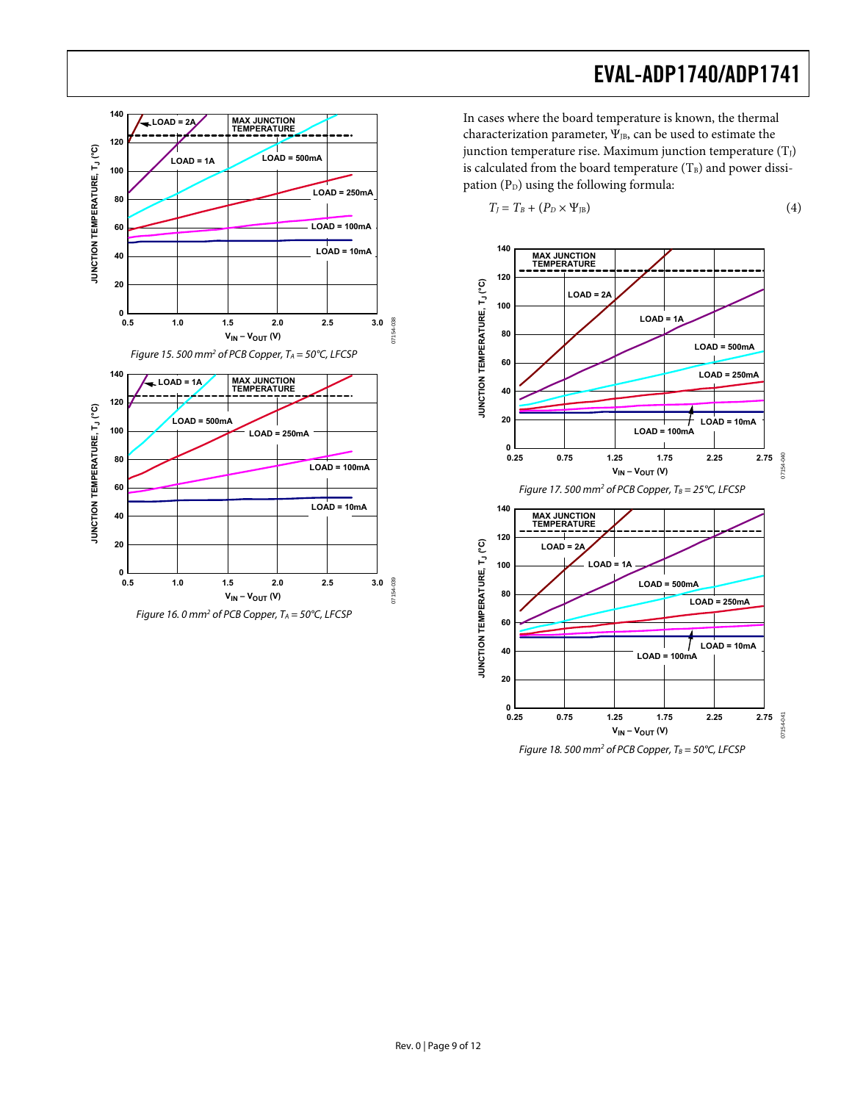<span id="page-8-0"></span>

In cases where the board temperature is known, the thermal characterization parameter,  $\Psi_{JB}$ , can be used to estimate the junction temperature rise. Maximum junction temperature  $(T_J)$ is calculated from the board temperature  $(T_B)$  and power dissipation  $(P_D)$  using the following formula:

$$
T_J = T_B + (P_D \times \Psi_{JB})
$$
 (4)

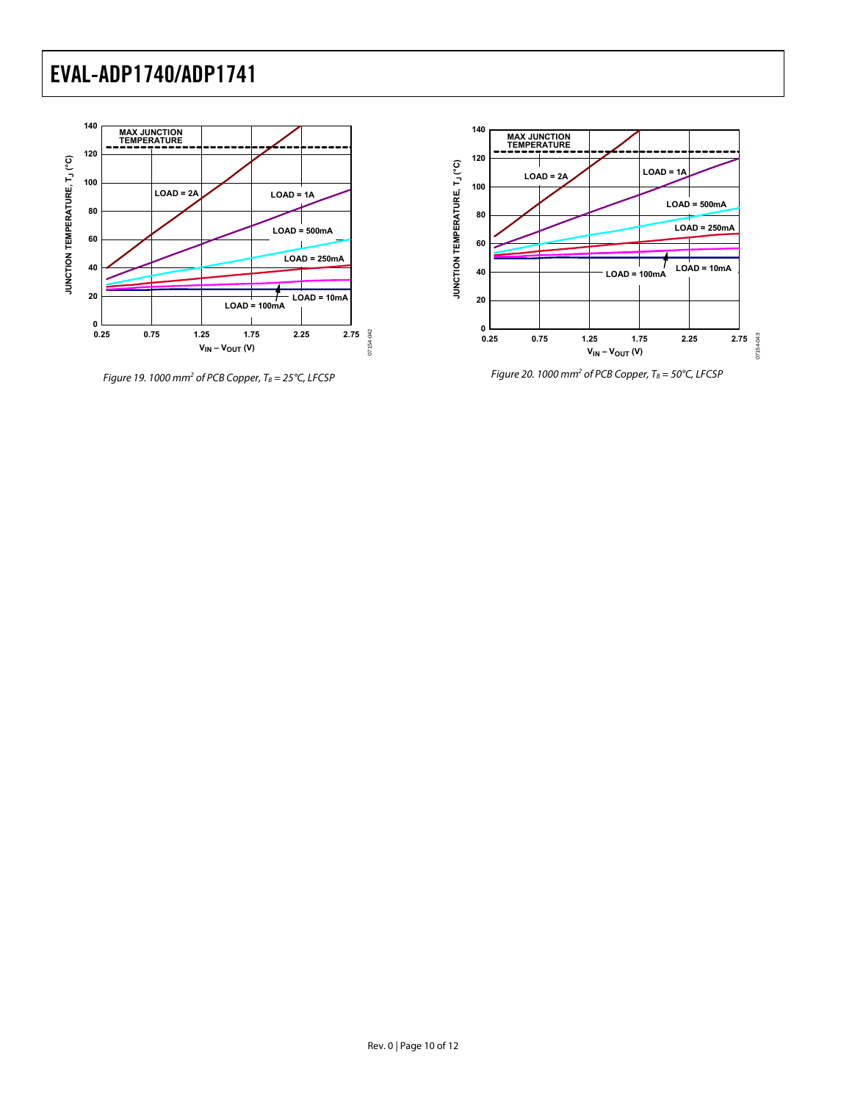

Figure 19. 1000 mm<sup>2</sup> of PCB Copper,  $T_B = 25^{\circ}$ C, LFCSP



Figure 20. 1000 mm<sup>2</sup> of PCB Copper,  $T_B = 50^{\circ}$ C, LFCSP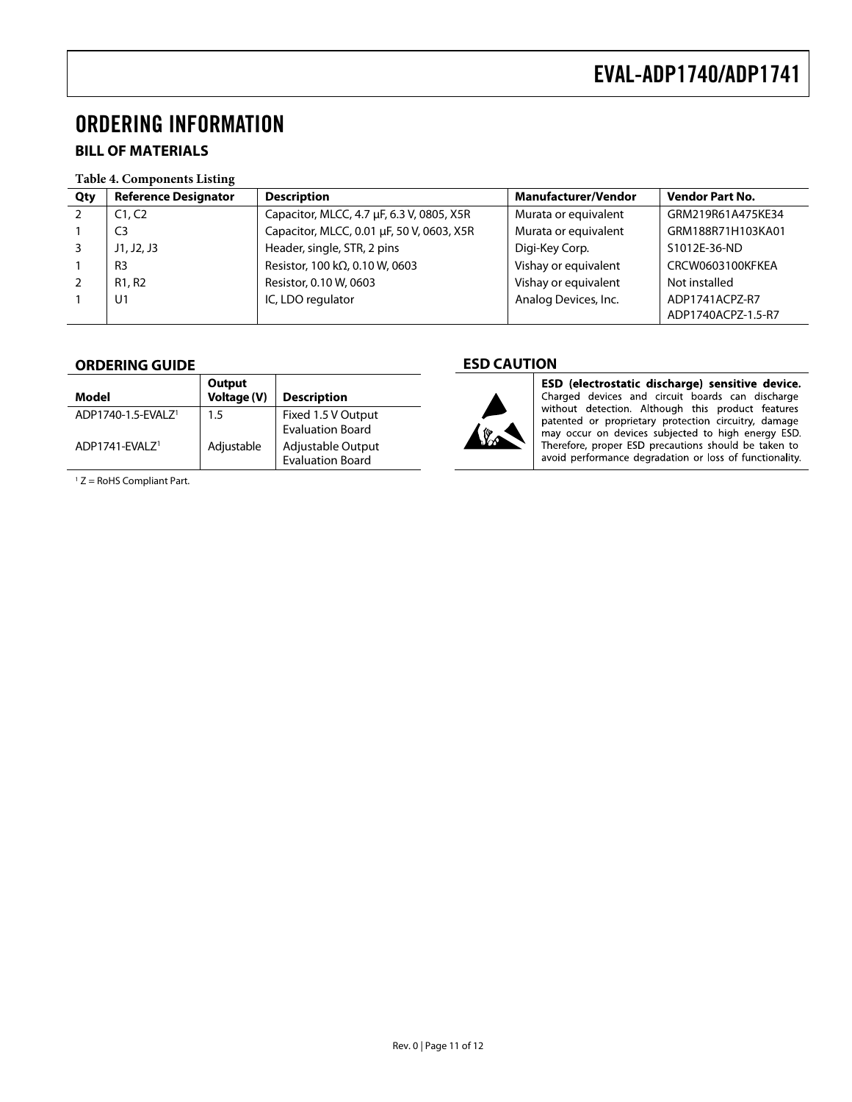### <span id="page-10-0"></span>ORDERING INFORMATION

### **BILL OF MATERIALS**

#### **Table 4. Components Listing**

| Qty | <b>Reference Designator</b>     | <b>Description</b>                        | <b>Manufacturer/Vendor</b> | <b>Vendor Part No.</b> |
|-----|---------------------------------|-------------------------------------------|----------------------------|------------------------|
|     | C1.C2                           | Capacitor, MLCC, 4.7 µF, 6.3 V, 0805, X5R | Murata or equivalent       | GRM219R61A475KE34      |
|     | C <sub>3</sub>                  | Capacitor, MLCC, 0.01 µF, 50 V, 0603, X5R | Murata or equivalent       | GRM188R71H103KA01      |
|     | J1, J2, J3                      | Header, single, STR, 2 pins               | Digi-Key Corp.             | S1012E-36-ND           |
|     | R <sub>3</sub>                  | Resistor, 100 k $\Omega$ , 0.10 W, 0603   | Vishay or equivalent       | CRCW0603100KFKEA       |
|     | R <sub>1</sub> , R <sub>2</sub> | Resistor, 0.10 W, 0603                    | Vishay or equivalent       | Not installed          |
|     | U1                              | IC, LDO regulator                         | Analog Devices, Inc.       | ADP1741ACPZ-R7         |
|     |                                 |                                           |                            | ADP1740ACPZ-1.5-R7     |

#### **ORDERING GUIDE**

| Model                          | Output<br>Voltage (V) | <b>Description</b>                            |
|--------------------------------|-----------------------|-----------------------------------------------|
| ADP1740-1.5-EVALZ <sup>1</sup> | 1.5                   | Fixed 1.5 V Output<br><b>Evaluation Board</b> |
| ADP1741-FVAI 7 <sup>1</sup>    | Adjustable            | Adjustable Output<br><b>Evaluation Board</b>  |

 $1 Z =$  RoHS Compliant Part.

### **ESD CAUTION**



ESD (electrostatic discharge) sensitive device. Charged devices and circuit boards can discharge<br>without detection. Although this product features<br>patented or proprietary protection circuitry, damage may occur on devices subjected to high energy ESD. Therefore, proper ESD precautions should be taken to avoid performance degradation or loss of functionality.